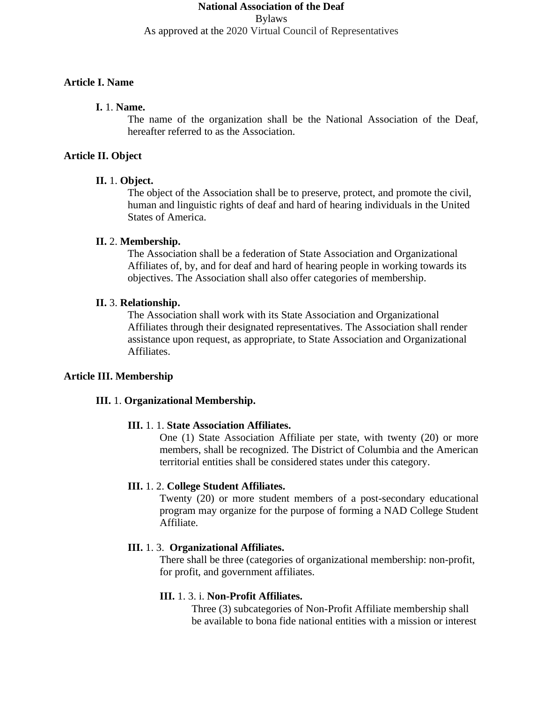# **National Association of the Deaf** Bylaws As approved at the 2020 Virtual Council of Representatives

#### **Article I. Name**

### **I.** 1. **Name.**

The name of the organization shall be the National Association of the Deaf, hereafter referred to as the Association.

#### **Article II. Object**

#### **II.** 1. **Object.**

The object of the Association shall be to preserve, protect, and promote the civil, human and linguistic rights of deaf and hard of hearing individuals in the United States of America.

#### **II.** 2. **Membership.**

The Association shall be a federation of State Association and Organizational Affiliates of, by, and for deaf and hard of hearing people in working towards its objectives. The Association shall also offer categories of membership.

#### **II.** 3. **Relationship.**

The Association shall work with its State Association and Organizational Affiliates through their designated representatives. The Association shall render assistance upon request, as appropriate, to State Association and Organizational Affiliates.

#### **Article III. Membership**

#### **III.** 1. **Organizational Membership.**

#### **III.** 1. 1. **State Association Affiliates.**

One (1) State Association Affiliate per state, with twenty (20) or more members, shall be recognized. The District of Columbia and the American territorial entities shall be considered states under this category.

#### **III.** 1. 2. **College Student Affiliates.**

Twenty (20) or more student members of a post-secondary educational program may organize for the purpose of forming a NAD College Student Affiliate.

#### **III.** 1. 3. **Organizational Affiliates.**

There shall be three (categories of organizational membership: non-profit, for profit, and government affiliates.

### **III.** 1. 3. i. **Non-Profit Affiliates.**

Three (3) subcategories of Non-Profit Affiliate membership shall be available to bona fide national entities with a mission or interest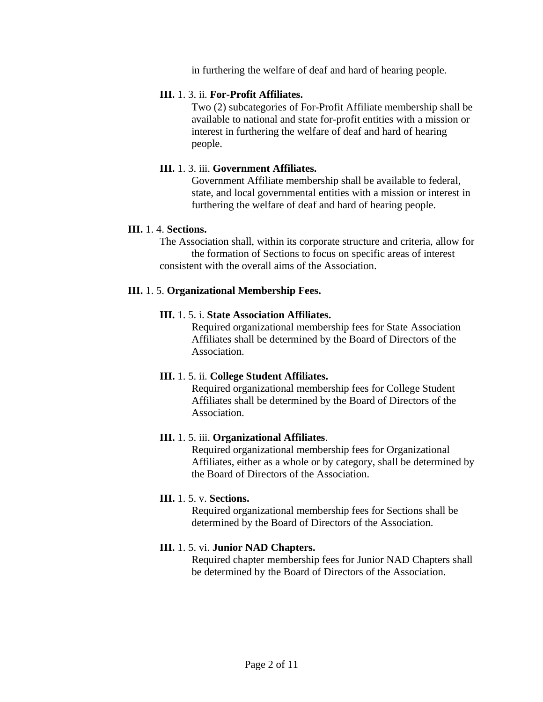in furthering the welfare of deaf and hard of hearing people.

#### **III.** 1. 3. ii. **For-Profit Affiliates.**

Two (2) subcategories of For-Profit Affiliate membership shall be available to national and state for-profit entities with a mission or interest in furthering the welfare of deaf and hard of hearing people.

#### **III.** 1. 3. iii. **Government Affiliates.**

Government Affiliate membership shall be available to federal, state, and local governmental entities with a mission or interest in furthering the welfare of deaf and hard of hearing people.

#### **III.** 1. 4. **Sections.**

The Association shall, within its corporate structure and criteria, allow for the formation of Sections to focus on specific areas of interest consistent with the overall aims of the Association.

#### **III.** 1. 5. **Organizational Membership Fees.**

#### **III.** 1. 5. i. **State Association Affiliates.**

Required organizational membership fees for State Association Affiliates shall be determined by the Board of Directors of the Association.

#### **III.** 1. 5. ii. **College Student Affiliates.**

Required organizational membership fees for College Student Affiliates shall be determined by the Board of Directors of the Association.

#### **III.** 1. 5. iii. **Organizational Affiliates**.

Required organizational membership fees for Organizational Affiliates, either as a whole or by category, shall be determined by the Board of Directors of the Association.

#### **III.** 1. 5. v. **Sections.**

Required organizational membership fees for Sections shall be determined by the Board of Directors of the Association.

#### **III.** 1. 5. vi. **Junior NAD Chapters.**

Required chapter membership fees for Junior NAD Chapters shall be determined by the Board of Directors of the Association.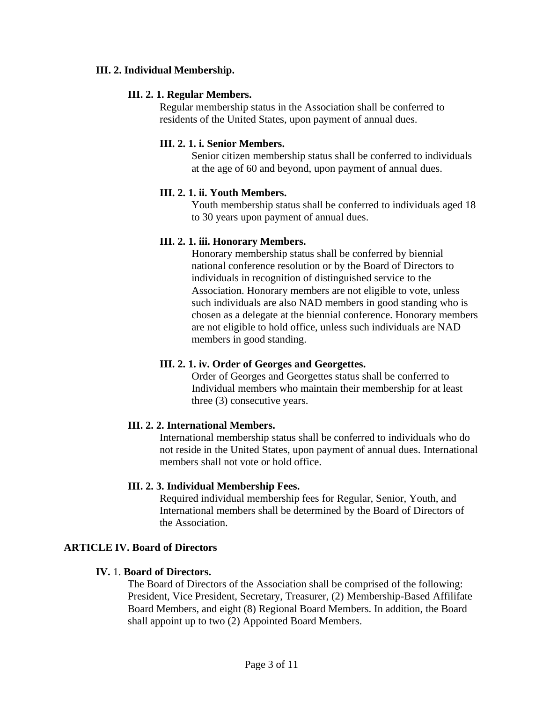### **III. 2. Individual Membership.**

### **III. 2. 1. Regular Members.**

Regular membership status in the Association shall be conferred to residents of the United States, upon payment of annual dues.

### **III. 2. 1. i. Senior Members.**

Senior citizen membership status shall be conferred to individuals at the age of 60 and beyond, upon payment of annual dues.

### **III. 2. 1. ii. Youth Members.**

Youth membership status shall be conferred to individuals aged 18 to 30 years upon payment of annual dues.

### **III. 2. 1. iii. Honorary Members.**

Honorary membership status shall be conferred by biennial national conference resolution or by the Board of Directors to individuals in recognition of distinguished service to the Association. Honorary members are not eligible to vote, unless such individuals are also NAD members in good standing who is chosen as a delegate at the biennial conference. Honorary members are not eligible to hold office, unless such individuals are NAD members in good standing.

#### **III. 2. 1. iv. Order of Georges and Georgettes.**

Order of Georges and Georgettes status shall be conferred to Individual members who maintain their membership for at least three (3) consecutive years.

# **III. 2. 2. International Members.**

International membership status shall be conferred to individuals who do not reside in the United States, upon payment of annual dues. International members shall not vote or hold office.

# **III. 2. 3. Individual Membership Fees.**

Required individual membership fees for Regular, Senior, Youth, and International members shall be determined by the Board of Directors of the Association.

# **ARTICLE IV. Board of Directors**

#### **IV.** 1. **Board of Directors.**

The Board of Directors of the Association shall be comprised of the following: President, Vice President, Secretary, Treasurer, (2) Membership-Based Affilifate Board Members, and eight (8) Regional Board Members. In addition, the Board shall appoint up to two (2) Appointed Board Members.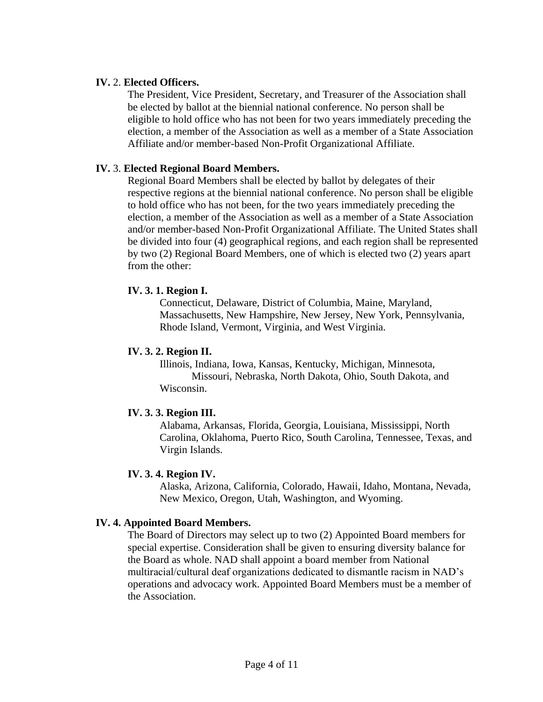### **IV.** 2. **Elected Officers.**

The President, Vice President, Secretary, and Treasurer of the Association shall be elected by ballot at the biennial national conference. No person shall be eligible to hold office who has not been for two years immediately preceding the election, a member of the Association as well as a member of a State Association Affiliate and/or member-based Non-Profit Organizational Affiliate.

### **IV.** 3. **Elected Regional Board Members.**

Regional Board Members shall be elected by ballot by delegates of their respective regions at the biennial national conference. No person shall be eligible to hold office who has not been, for the two years immediately preceding the election, a member of the Association as well as a member of a State Association and/or member-based Non-Profit Organizational Affiliate. The United States shall be divided into four (4) geographical regions, and each region shall be represented by two (2) Regional Board Members, one of which is elected two (2) years apart from the other:

### **IV. 3. 1. Region I.**

Connecticut, Delaware, District of Columbia, Maine, Maryland, Massachusetts, New Hampshire, New Jersey, New York, Pennsylvania, Rhode Island, Vermont, Virginia, and West Virginia.

### **IV. 3. 2. Region II.**

Illinois, Indiana, Iowa, Kansas, Kentucky, Michigan, Minnesota, Missouri, Nebraska, North Dakota, Ohio, South Dakota, and Wisconsin.

# **IV. 3. 3. Region III.**

Alabama, Arkansas, Florida, Georgia, Louisiana, Mississippi, North Carolina, Oklahoma, Puerto Rico, South Carolina, Tennessee, Texas, and Virgin Islands.

#### **IV. 3. 4. Region IV.**

Alaska, Arizona, California, Colorado, Hawaii, Idaho, Montana, Nevada, New Mexico, Oregon, Utah, Washington, and Wyoming.

# **IV. 4. Appointed Board Members.**

The Board of Directors may select up to two (2) Appointed Board members for special expertise. Consideration shall be given to ensuring diversity balance for the Board as whole. NAD shall appoint a board member from National multiracial/cultural deaf organizations dedicated to dismantle racism in NAD's operations and advocacy work. Appointed Board Members must be a member of the Association.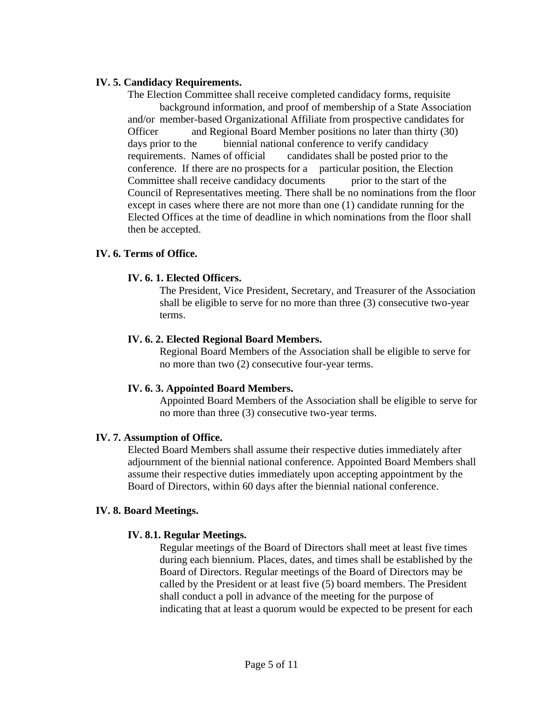### **IV. 5. Candidacy Requirements.**

The Election Committee shall receive completed candidacy forms, requisite background information, and proof of membership of a State Association and/or member-based Organizational Affiliate from prospective candidates for Officer and Regional Board Member positions no later than thirty (30) days prior to the biennial national conference to verify candidacy requirements. Names of official candidates shall be posted prior to the conference. If there are no prospects for a particular position, the Election Committee shall receive candidacy documents prior to the start of the Council of Representatives meeting. There shall be no nominations from the floor except in cases where there are not more than one (1) candidate running for the Elected Offices at the time of deadline in which nominations from the floor shall then be accepted.

### **IV. 6. Terms of Office.**

### **IV. 6. 1. Elected Officers.**

The President, Vice President, Secretary, and Treasurer of the Association shall be eligible to serve for no more than three (3) consecutive two-year terms.

#### **IV. 6. 2. Elected Regional Board Members.**

Regional Board Members of the Association shall be eligible to serve for no more than two (2) consecutive four-year terms.

#### **IV. 6. 3. Appointed Board Members.**

Appointed Board Members of the Association shall be eligible to serve for no more than three (3) consecutive two-year terms.

#### **IV. 7. Assumption of Office.**

Elected Board Members shall assume their respective duties immediately after adjournment of the biennial national conference. Appointed Board Members shall assume their respective duties immediately upon accepting appointment by the Board of Directors, within 60 days after the biennial national conference.

#### **IV. 8. Board Meetings.**

# **IV. 8.1. Regular Meetings.**

Regular meetings of the Board of Directors shall meet at least five times during each biennium. Places, dates, and times shall be established by the Board of Directors. Regular meetings of the Board of Directors may be called by the President or at least five (5) board members. The President shall conduct a poll in advance of the meeting for the purpose of indicating that at least a quorum would be expected to be present for each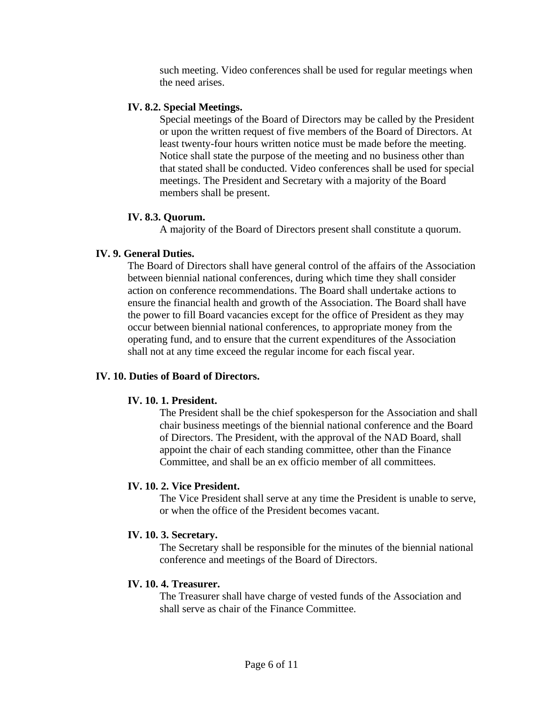such meeting. Video conferences shall be used for regular meetings when the need arises.

#### **IV. 8.2. Special Meetings.**

Special meetings of the Board of Directors may be called by the President or upon the written request of five members of the Board of Directors. At least twenty-four hours written notice must be made before the meeting. Notice shall state the purpose of the meeting and no business other than that stated shall be conducted. Video conferences shall be used for special meetings. The President and Secretary with a majority of the Board members shall be present.

# **IV. 8.3. Quorum.**

A majority of the Board of Directors present shall constitute a quorum.

# **IV. 9. General Duties.**

The Board of Directors shall have general control of the affairs of the Association between biennial national conferences, during which time they shall consider action on conference recommendations. The Board shall undertake actions to ensure the financial health and growth of the Association. The Board shall have the power to fill Board vacancies except for the office of President as they may occur between biennial national conferences, to appropriate money from the operating fund, and to ensure that the current expenditures of the Association shall not at any time exceed the regular income for each fiscal year.

# **IV. 10. Duties of Board of Directors.**

#### **IV. 10. 1. President.**

The President shall be the chief spokesperson for the Association and shall chair business meetings of the biennial national conference and the Board of Directors. The President, with the approval of the NAD Board, shall appoint the chair of each standing committee, other than the Finance Committee, and shall be an ex officio member of all committees.

# **IV. 10. 2. Vice President.**

The Vice President shall serve at any time the President is unable to serve, or when the office of the President becomes vacant.

#### **IV. 10. 3. Secretary.**

The Secretary shall be responsible for the minutes of the biennial national conference and meetings of the Board of Directors.

#### **IV. 10. 4. Treasurer.**

The Treasurer shall have charge of vested funds of the Association and shall serve as chair of the Finance Committee.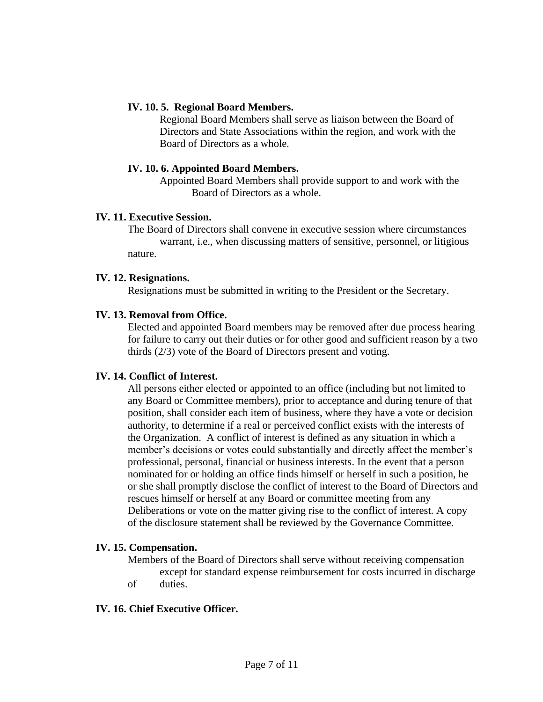### **IV. 10. 5. Regional Board Members.**

Regional Board Members shall serve as liaison between the Board of Directors and State Associations within the region, and work with the Board of Directors as a whole.

### **IV. 10. 6. Appointed Board Members.**

Appointed Board Members shall provide support to and work with the Board of Directors as a whole.

### **IV. 11. Executive Session.**

The Board of Directors shall convene in executive session where circumstances warrant, i.e., when discussing matters of sensitive, personnel, or litigious nature.

#### **IV. 12. Resignations.**

Resignations must be submitted in writing to the President or the Secretary.

### **IV. 13. Removal from Office.**

Elected and appointed Board members may be removed after due process hearing for failure to carry out their duties or for other good and sufficient reason by a two thirds (2/3) vote of the Board of Directors present and voting.

# **IV. 14. Conflict of Interest.**

All persons either elected or appointed to an office (including but not limited to any Board or Committee members), prior to acceptance and during tenure of that position, shall consider each item of business, where they have a vote or decision authority, to determine if a real or perceived conflict exists with the interests of the Organization. A conflict of interest is defined as any situation in which a member's decisions or votes could substantially and directly affect the member's professional, personal, financial or business interests. In the event that a person nominated for or holding an office finds himself or herself in such a position, he or she shall promptly disclose the conflict of interest to the Board of Directors and rescues himself or herself at any Board or committee meeting from any Deliberations or vote on the matter giving rise to the conflict of interest. A copy of the disclosure statement shall be reviewed by the Governance Committee.

#### **IV. 15. Compensation.**

Members of the Board of Directors shall serve without receiving compensation except for standard expense reimbursement for costs incurred in discharge

of duties.

# **IV. 16. Chief Executive Officer.**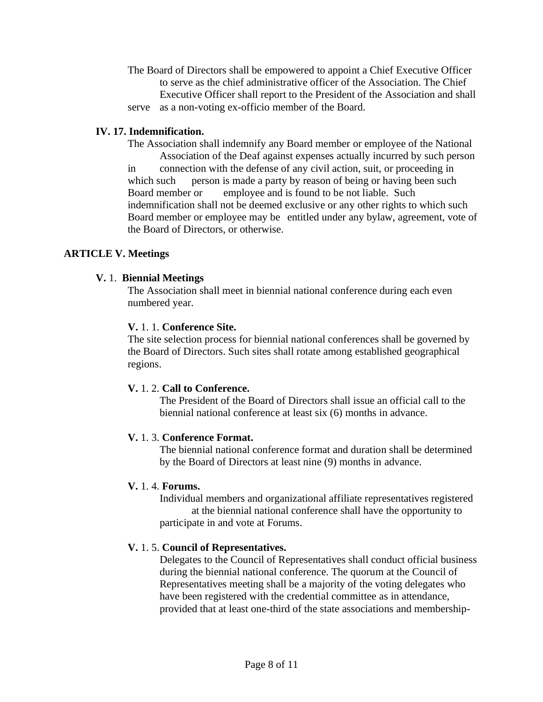The Board of Directors shall be empowered to appoint a Chief Executive Officer to serve as the chief administrative officer of the Association. The Chief Executive Officer shall report to the President of the Association and shall serve as a non-voting ex-officio member of the Board.

# **IV. 17. Indemnification.**

The Association shall indemnify any Board member or employee of the National Association of the Deaf against expenses actually incurred by such person in connection with the defense of any civil action, suit, or proceeding in which such person is made a party by reason of being or having been such Board member or employee and is found to be not liable. Such indemnification shall not be deemed exclusive or any other rights to which such Board member or employee may be entitled under any bylaw, agreement, vote of the Board of Directors, or otherwise.

# **ARTICLE V. Meetings**

# **V.** 1. **Biennial Meetings**

The Association shall meet in biennial national conference during each even numbered year.

# **V.** 1. 1. **Conference Site.**

The site selection process for biennial national conferences shall be governed by the Board of Directors. Such sites shall rotate among established geographical regions.

# **V.** 1. 2. **Call to Conference.**

The President of the Board of Directors shall issue an official call to the biennial national conference at least six (6) months in advance.

# **V.** 1. 3. **Conference Format.**

The biennial national conference format and duration shall be determined by the Board of Directors at least nine (9) months in advance.

#### **V.** 1. 4. **Forums.**

Individual members and organizational affiliate representatives registered at the biennial national conference shall have the opportunity to participate in and vote at Forums.

# **V.** 1. 5. **Council of Representatives.**

Delegates to the Council of Representatives shall conduct official business during the biennial national conference. The quorum at the Council of Representatives meeting shall be a majority of the voting delegates who have been registered with the credential committee as in attendance, provided that at least one-third of the state associations and membership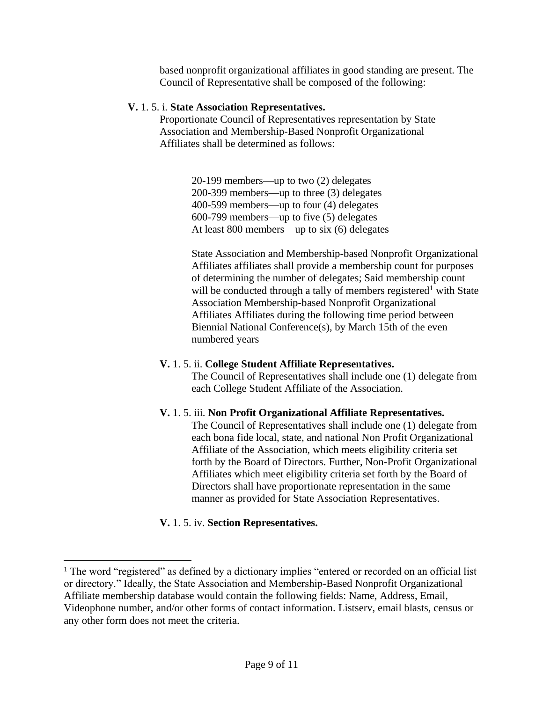based nonprofit organizational affiliates in good standing are present. The Council of Representative shall be composed of the following:

#### **V.** 1. 5. i. **State Association Representatives.**

Proportionate Council of Representatives representation by State Association and Membership-Based Nonprofit Organizational Affiliates shall be determined as follows:

> 20-199 members—up to two (2) delegates 200-399 members—up to three (3) delegates 400-599 members—up to four (4) delegates 600-799 members—up to five (5) delegates At least 800 members—up to six (6) delegates

State Association and Membership-based Nonprofit Organizational Affiliates affiliates shall provide a membership count for purposes of determining the number of delegates; Said membership count will be conducted through a tally of members registered<sup>1</sup> with State Association Membership-based Nonprofit Organizational Affiliates Affiliates during the following time period between Biennial National Conference(s), by March 15th of the even numbered years

#### **V.** 1. 5. ii. **College Student Affiliate Representatives.**

The Council of Representatives shall include one (1) delegate from each College Student Affiliate of the Association.

#### **V.** 1. 5. iii. **Non Profit Organizational Affiliate Representatives.**

The Council of Representatives shall include one (1) delegate from each bona fide local, state, and national Non Profit Organizational Affiliate of the Association, which meets eligibility criteria set forth by the Board of Directors. Further, Non-Profit Organizational Affiliates which meet eligibility criteria set forth by the Board of Directors shall have proportionate representation in the same manner as provided for State Association Representatives.

#### **V.** 1. 5. iv. **Section Representatives.**

<sup>&</sup>lt;sup>1</sup> The word "registered" as defined by a dictionary implies "entered or recorded on an official list or directory." Ideally, the State Association and Membership-Based Nonprofit Organizational Affiliate membership database would contain the following fields: Name, Address, Email, Videophone number, and/or other forms of contact information. Listserv, email blasts, census or any other form does not meet the criteria.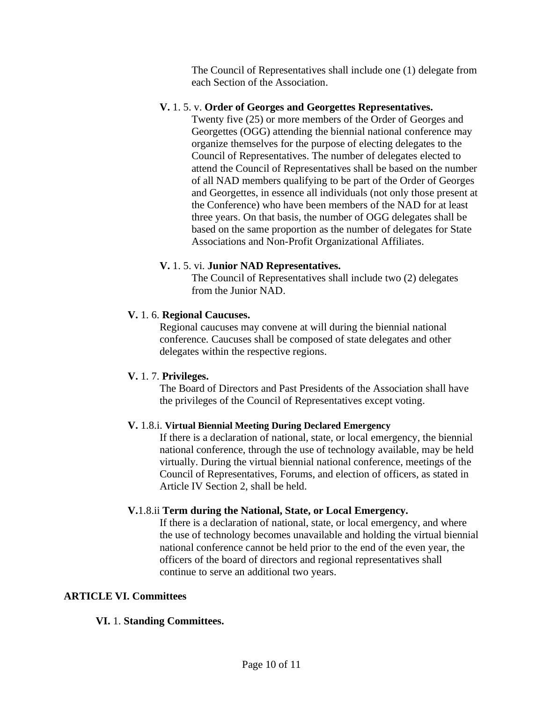The Council of Representatives shall include one (1) delegate from each Section of the Association.

### **V.** 1. 5. v. **Order of Georges and Georgettes Representatives.**

Twenty five (25) or more members of the Order of Georges and Georgettes (OGG) attending the biennial national conference may organize themselves for the purpose of electing delegates to the Council of Representatives. The number of delegates elected to attend the Council of Representatives shall be based on the number of all NAD members qualifying to be part of the Order of Georges and Georgettes, in essence all individuals (not only those present at the Conference) who have been members of the NAD for at least three years. On that basis, the number of OGG delegates shall be based on the same proportion as the number of delegates for State Associations and Non-Profit Organizational Affiliates.

### **V.** 1. 5. vi. **Junior NAD Representatives.**

The Council of Representatives shall include two (2) delegates from the Junior NAD.

# **V.** 1. 6. **Regional Caucuses.**

Regional caucuses may convene at will during the biennial national conference. Caucuses shall be composed of state delegates and other delegates within the respective regions.

# **V.** 1. 7. **Privileges.**

The Board of Directors and Past Presidents of the Association shall have the privileges of the Council of Representatives except voting.

#### **V.** 1.8.i. **Virtual Biennial Meeting During Declared Emergency**

If there is a declaration of national, state, or local emergency, the biennial national conference, through the use of technology available, may be held virtually. During the virtual biennial national conference, meetings of the Council of Representatives, Forums, and election of officers, as stated in Article IV Section 2, shall be held.

# **V.**1.8.ii **Term during the National, State, or Local Emergency.**

If there is a declaration of national, state, or local emergency, and where the use of technology becomes unavailable and holding the virtual biennial national conference cannot be held prior to the end of the even year, the officers of the board of directors and regional representatives shall continue to serve an additional two years.

# **ARTICLE VI. Committees**

# **VI.** 1. **Standing Committees.**